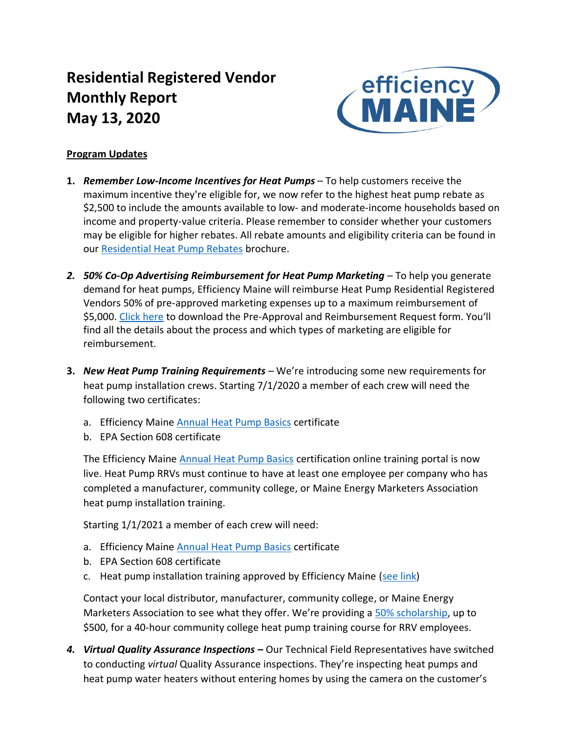# **Residential Registered Vendor Monthly Report May 13, 2020**



# **Program Updates**

- **1.** *Remember Low-Income Incentives for Heat Pumps* To help customers receive the maximum incentive they're eligible for, we now refer to the highest heat pump rebate as \$2,500 to include the amounts available to low- and moderate-income households based on income and property-value criteria. Please remember to consider whether your customers may be eligible for higher rebates. All rebate amounts and eligibility criteria can be found in our [Residential Heat Pump Rebates](https://www.efficiencymaine.com/docs/Heat-Pump-Rebate-Brochure.pdf) brochure.
- *2. 50% Co-Op Advertising Reimbursement for Heat Pump Marketing* To help you generate demand for heat pumps, Efficiency Maine will reimburse Heat Pump Residential Registered Vendors 50% of pre-approved marketing expenses up to a maximum reimbursement of \$5,000. [Click here](https://www.efficiencymaine.com/docs/Efficiency-Maine-Residential-Heat-Pump-Coop-Marketing-Program-Forms.pdf) to download the Pre-Approval and Reimbursement Request form. You'll find all the details about the process and which types of marketing are eligible for reimbursement.
- **3.** *New Heat Pump Training Requirements* We're introducing some new requirements for heat pump installation crews. Starting 7/1/2020 a member of each crew will need the following two certificates:
	- a. Efficiency Maine [Annual Heat Pump Basics](https://www.efficiencymainetraining.com/) certificate
	- b. EPA Section 608 certificate

The Efficiency Maine [Annual Heat Pump Basics](https://www.efficiencymainetraining.com/) certification online training portal is now live. Heat Pump RRVs must continue to have at least one employee per company who has completed a manufacturer, community college, or Maine Energy Marketers Association heat pump installation training.

Starting 1/1/2021 a member of each crew will need:

- a. Efficiency Maine [Annual Heat Pump Basics](https://www.efficiencymainetraining.com/) certificate
- b. EPA Section 608 certificate
- c. Heat pump installation training approved by Efficiency Maine [\(see link\)](https://www.efficiencymaine.com/docs/EM-RV-form.pdf)

Contact your local distributor, manufacturer, community college, or Maine Energy Marketers Association to see what they offer. We're providing a [50% scholarship,](https://www.efficiencymaine.com/docs/RRV-Heat-Pump-Training-Scholarship-Application.pdf) up to \$500, for a 40-hour community college heat pump training course for RRV employees.

4. Virtual Quality Assurance Inspections – Our Technical Field Representatives have switched to conducting *virtual* Quality Assurance inspections. They're inspecting heat pumps and heat pump water heaters without entering homes by using the camera on the customer's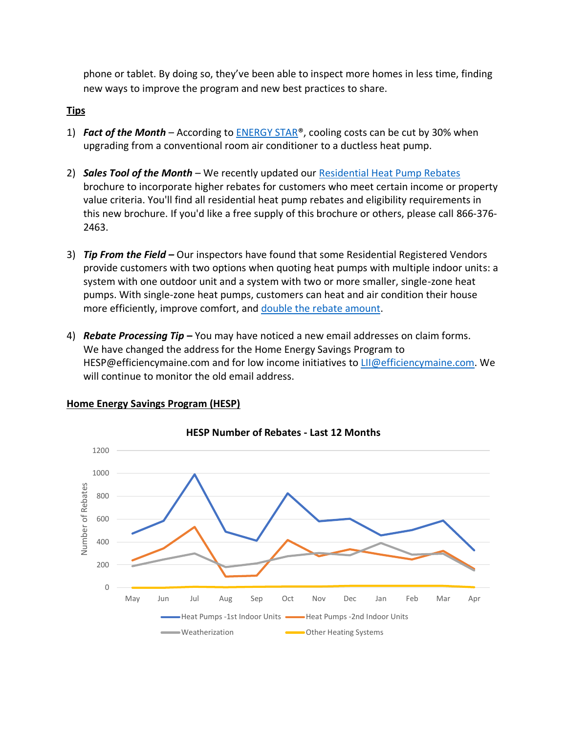phone or tablet. By doing so, they've been able to inspect more homes in less time, finding new ways to improve the program and new best practices to share.

## **Tips**

- 1) *Fact of the Month* According to [ENERGY STAR®](https://www.energystar.gov/products/heating_cooling/ductless_heating_cooling), cooling costs can be cut by 30% when upgrading from a conventional room air conditioner to a ductless heat pump.
- 2) *Sales Tool of the Month* We recently updated our [Residential Heat Pump Rebates](https://www.efficiencymaine.com/docs/Heat-Pump-Rebate-Brochure.pdf) brochure to incorporate higher rebates for customers who meet certain income or property value criteria. You'll find all residential heat pump rebates and eligibility requirements in this new brochure. If you'd like a free supply of this brochure or others, please call 866-376- 2463.
- 3) *Tip From the Field –* Our inspectors have found that some Residential Registered Vendors provide customers with two options when quoting heat pumps with multiple indoor units: a system with one outdoor unit and a system with two or more smaller, single-zone heat pumps. With single-zone heat pumps, customers can heat and air condition their house more efficiently, improve comfort, and [double the rebate amount.](https://www.efficiencymaine.com/at-home/ductless-heat-pumps/)
- 4) *Rebate Processing Tip* **–** You may have noticed a new email addresses on claim forms. We have changed the address for the Home Energy Savings Program to HESP@efficiencymaine.com and for low income initiatives to [LII@efficiencymaine.com.](mailto:LII@efficiencymaine.com) We will continue to monitor the old email address.



#### **Home Energy Savings Program (HESP)**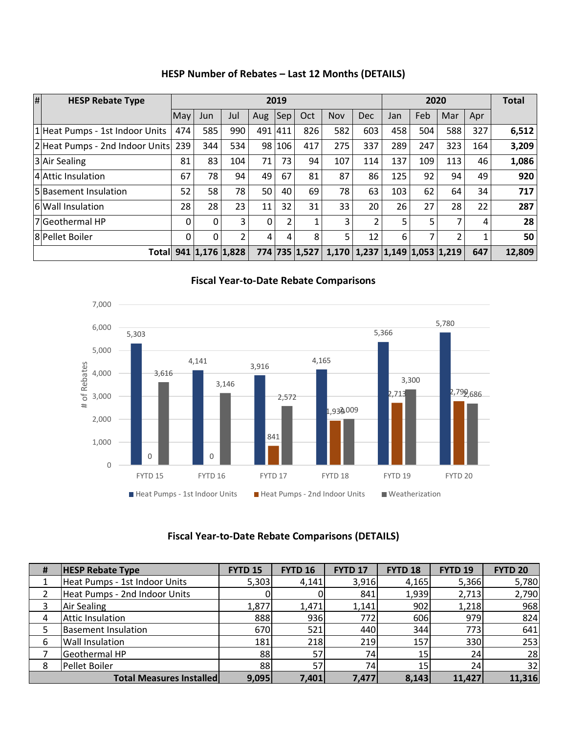| $\overline{H}$ | <b>HESP Rebate Type</b>         | 2019     |                 |                |     |        |               | 2020       |                                         |     |     | <b>Total</b>   |     |        |
|----------------|---------------------------------|----------|-----------------|----------------|-----|--------|---------------|------------|-----------------------------------------|-----|-----|----------------|-----|--------|
|                |                                 | May      | Jun             | Jul            | Aug | Sep    | Oct           | <b>Nov</b> | <b>Dec</b>                              | Jan | Feb | Mar            | Apr |        |
|                | 1 Heat Pumps - 1st Indoor Units | 474      | 585             | 990            | 491 | 1411   | 826           | 582        | 603                                     | 458 | 504 | 588            | 327 | 6,512  |
|                | 2Heat Pumps - 2nd Indoor Units  | 239      | 344             | 534            |     | 98 106 | 417           | 275        | 337                                     | 289 | 247 | 323            | 164 | 3,209  |
|                | 3 Air Sealing                   | 81       | 83              | 104            | 71  | 73.    | 94            | 107        | 114                                     | 137 | 109 | 113            | 46  | 1,086  |
|                | 4 Attic Insulation              | 67       | 78              | 94             | 49  | 67     | 81            | 87         | 86                                      | 125 | 92  | 94             | 49  | 920    |
|                | 5Basement Insulation            | 52       | 58              | 78             | 50  | 40     | 69            | 78         | 63                                      | 103 | 62  | 64             | 34  | 717    |
|                | <b>6</b> Wall Insulation        | 28       | 28              | 23             | 11  | 32     | 31            | 33         | 20                                      | 26  | 27  | 28             | 22  | 287    |
|                | 7 Geothermal HP                 | 0        | 0               | 3              | 0   | 2      | 1             | 3          | 2                                       | 5   | 5.  | 7              | 4   | 28     |
|                | 8 Pellet Boiler                 | $\Omega$ | $\Omega$        | $\overline{2}$ | 4   | 4      | 8             | 5          | 12                                      | 6   | 7   | $\overline{2}$ |     | 50     |
|                | Totall                          |          | 941 1,176 1,828 |                |     |        | 774 735 1,527 |            | $1,170$   1,237   1,149   1,053   1,219 |     |     |                | 647 | 12,809 |

# **HESP Number of Rebates – Last 12 Months (DETAILS)**

## **Fiscal Year-to-Date Rebate Comparisons**



# **Fiscal Year-to-Date Rebate Comparisons (DETAILS)**

| # | <b>HESP Rebate Type</b>         | <b>FYTD 15</b> | <b>FYTD 16</b> | <b>FYTD 17</b> | FYTD <sub>18</sub> | <b>FYTD 19</b> | <b>FYTD 20</b> |
|---|---------------------------------|----------------|----------------|----------------|--------------------|----------------|----------------|
|   | Heat Pumps - 1st Indoor Units   | 5,303          | 4,141          | 3,916          | 4,165              | 5,366          | 5,780          |
|   | Heat Pumps - 2nd Indoor Units   |                |                | 841            | 1,939              | 2,713          | 2,790          |
| 3 | <b>Air Sealing</b>              | 1,877          | 1,471          | 1,141          | 902                | 1,218          | 968            |
| 4 | Attic Insulation                | 888            | 936            | 772            | 606                | 979            | 824            |
|   | <b>Basement Insulation</b>      | 670            | 521            | 440            | 344                | 773            | 641            |
| 6 | <b>Wall Insulation</b>          | 181            | 218            | 219            | 157                | 330            | 253            |
|   | <b>Geothermal HP</b>            | 88             | 57             | 74             | 15 <sub>l</sub>    | 24             | 28             |
| 8 | Pellet Boiler                   | 88             | 57             | 74             | 15                 | 24             | 32             |
|   | <b>Total Measures Installed</b> | 9,095          | 7,401          | 7,477          | 8,143              | 11,427         | 11,316         |